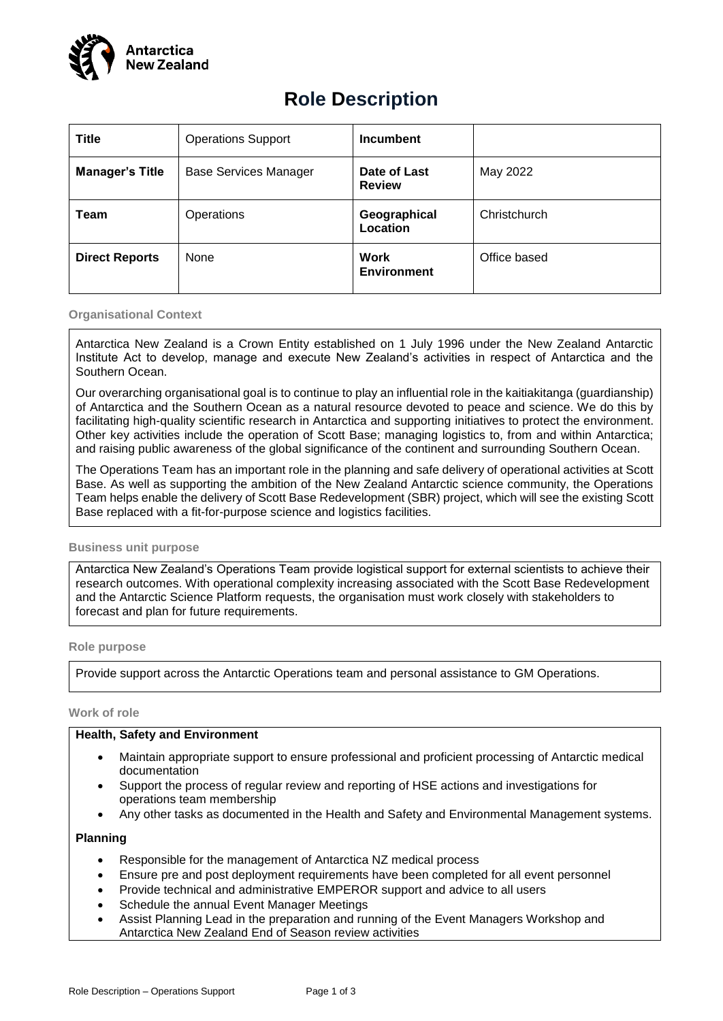

# **Role Description**

| <b>Title</b>           | <b>Operations Support</b>    | <b>Incumbent</b>                  |              |
|------------------------|------------------------------|-----------------------------------|--------------|
| <b>Manager's Title</b> | <b>Base Services Manager</b> | Date of Last<br><b>Review</b>     | May 2022     |
| Team                   | Operations                   | Geographical<br>Location          | Christchurch |
| <b>Direct Reports</b>  | None                         | <b>Work</b><br><b>Environment</b> | Office based |

#### **Organisational Context**

Antarctica New Zealand is a Crown Entity established on 1 July 1996 under the New Zealand Antarctic Institute Act to develop, manage and execute New Zealand's activities in respect of Antarctica and the Southern Ocean.

Our overarching organisational goal is to continue to play an influential role in the kaitiakitanga (guardianship) of Antarctica and the Southern Ocean as a natural resource devoted to peace and science. We do this by facilitating high-quality scientific research in Antarctica and supporting initiatives to protect the environment. Other key activities include the operation of Scott Base; managing logistics to, from and within Antarctica; and raising public awareness of the global significance of the continent and surrounding Southern Ocean.

The Operations Team has an important role in the planning and safe delivery of operational activities at Scott Base. As well as supporting the ambition of the New Zealand Antarctic science community, the Operations Team helps enable the delivery of Scott Base Redevelopment (SBR) project, which will see the existing Scott Base replaced with a fit-for-purpose science and logistics facilities.

### **Business unit purpose**

Antarctica New Zealand's Operations Team provide logistical support for external scientists to achieve their research outcomes. With operational complexity increasing associated with the Scott Base Redevelopment and the Antarctic Science Platform requests, the organisation must work closely with stakeholders to forecast and plan for future requirements.

### **Role purpose**

Provide support across the Antarctic Operations team and personal assistance to GM Operations.

#### **Work of role**

### **Health, Safety and Environment**

- Maintain appropriate support to ensure professional and proficient processing of Antarctic medical documentation
- Support the process of regular review and reporting of HSE actions and investigations for operations team membership
- Any other tasks as documented in the Health and Safety and Environmental Management systems.

### **Planning**

- Responsible for the management of Antarctica NZ medical process
- Ensure pre and post deployment requirements have been completed for all event personnel
- Provide technical and administrative EMPEROR support and advice to all users
- Schedule the annual Event Manager Meetings
- Assist Planning Lead in the preparation and running of the Event Managers Workshop and Antarctica New Zealand End of Season review activities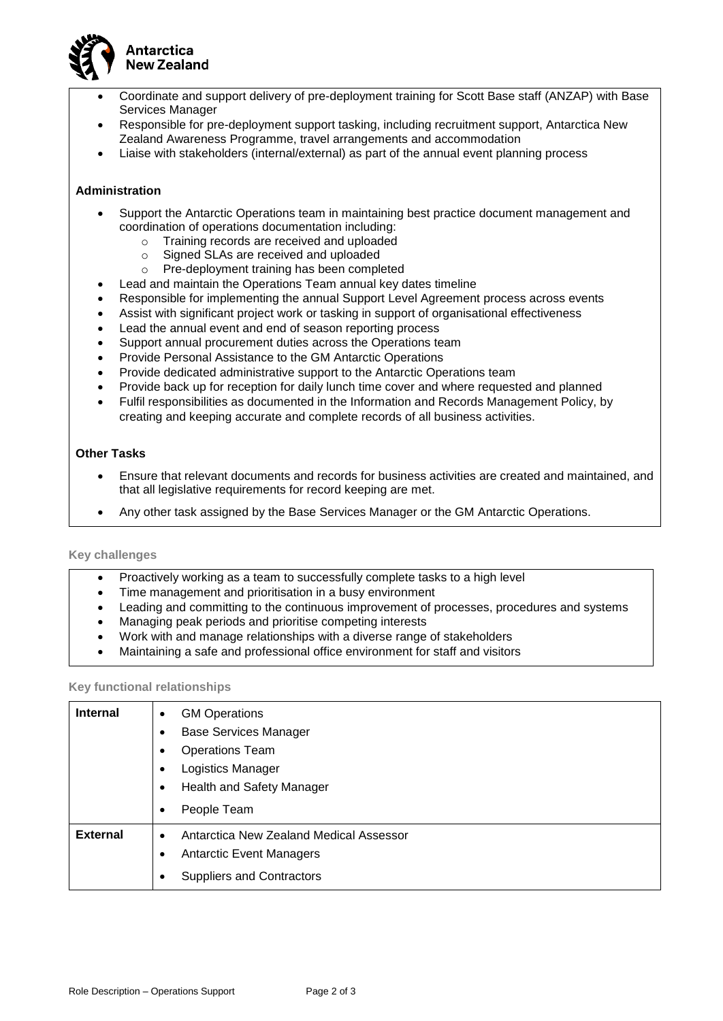

- Coordinate and support delivery of pre-deployment training for Scott Base staff (ANZAP) with Base Services Manager
- Responsible for pre-deployment support tasking, including recruitment support, Antarctica New Zealand Awareness Programme, travel arrangements and accommodation
- Liaise with stakeholders (internal/external) as part of the annual event planning process

## **Administration**

- Support the Antarctic Operations team in maintaining best practice document management and coordination of operations documentation including:
	- o Training records are received and uploaded
	- o Signed SLAs are received and uploaded
	- o Pre-deployment training has been completed
- Lead and maintain the Operations Team annual key dates timeline
- Responsible for implementing the annual Support Level Agreement process across events
- Assist with significant project work or tasking in support of organisational effectiveness
- Lead the annual event and end of season reporting process
- Support annual procurement duties across the Operations team
- Provide Personal Assistance to the GM Antarctic Operations
- Provide dedicated administrative support to the Antarctic Operations team
- Provide back up for reception for daily lunch time cover and where requested and planned
- Fulfil responsibilities as documented in the Information and Records Management Policy, by creating and keeping accurate and complete records of all business activities.

### **Other Tasks**

- Ensure that relevant documents and records for business activities are created and maintained, and that all legislative requirements for record keeping are met.
- Any other task assigned by the Base Services Manager or the GM Antarctic Operations.

## **Key challenges**

- Proactively working as a team to successfully complete tasks to a high level
- Time management and prioritisation in a busy environment
- Leading and committing to the continuous improvement of processes, procedures and systems
- Managing peak periods and prioritise competing interests
- Work with and manage relationships with a diverse range of stakeholders
- Maintaining a safe and professional office environment for staff and visitors

### **Key functional relationships**

| <b>Internal</b> | <b>GM Operations</b><br>$\bullet$<br><b>Base Services Manager</b><br><b>Operations Team</b><br>Logistics Manager |  |
|-----------------|------------------------------------------------------------------------------------------------------------------|--|
|                 | Health and Safety Manager<br>$\bullet$                                                                           |  |
|                 | People Team<br>$\bullet$                                                                                         |  |
| <b>External</b> | Antarctica New Zealand Medical Assessor<br>$\bullet$                                                             |  |
|                 | <b>Antarctic Event Managers</b>                                                                                  |  |
|                 | <b>Suppliers and Contractors</b><br>$\bullet$                                                                    |  |